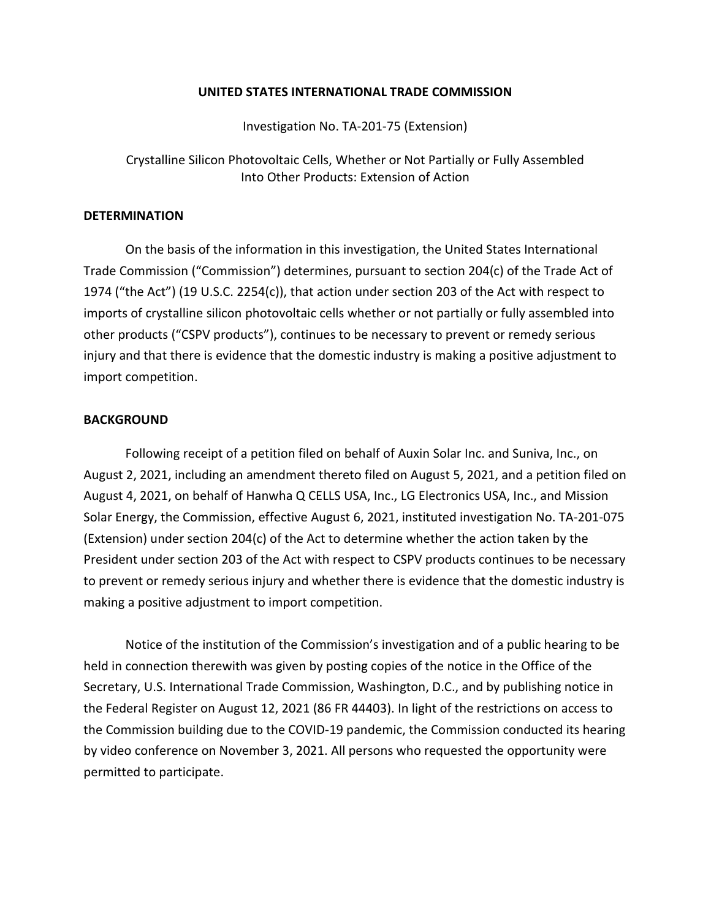## **UNITED STATES INTERNATIONAL TRADE COMMISSION**

Investigation No. TA-201-75 (Extension)

Crystalline Silicon Photovoltaic Cells, Whether or Not Partially or Fully Assembled Into Other Products: Extension of Action

## **DETERMINATION**

On the basis of the information in this investigation, the United States International Trade Commission ("Commission") determines, pursuant to section 204(c) of the Trade Act of 1974 ("the Act") (19 U.S.C. 2254(c)), that action under section 203 of the Act with respect to imports of crystalline silicon photovoltaic cells whether or not partially or fully assembled into other products ("CSPV products"), continues to be necessary to prevent or remedy serious injury and that there is evidence that the domestic industry is making a positive adjustment to import competition.

## **BACKGROUND**

Following receipt of a petition filed on behalf of Auxin Solar Inc. and Suniva, Inc., on August 2, 2021, including an amendment thereto filed on August 5, 2021, and a petition filed on August 4, 2021, on behalf of Hanwha Q CELLS USA, Inc., LG Electronics USA, Inc., and Mission Solar Energy, the Commission, effective August 6, 2021, instituted investigation No. TA-201-075 (Extension) under section 204(c) of the Act to determine whether the action taken by the President under section 203 of the Act with respect to CSPV products continues to be necessary to prevent or remedy serious injury and whether there is evidence that the domestic industry is making a positive adjustment to import competition.

Notice of the institution of the Commission's investigation and of a public hearing to be held in connection therewith was given by posting copies of the notice in the Office of the Secretary, U.S. International Trade Commission, Washington, D.C., and by publishing notice in the Federal Register on August 12, 2021 (86 FR 44403). In light of the restrictions on access to the Commission building due to the COVID-19 pandemic, the Commission conducted its hearing by video conference on November 3, 2021. All persons who requested the opportunity were permitted to participate.